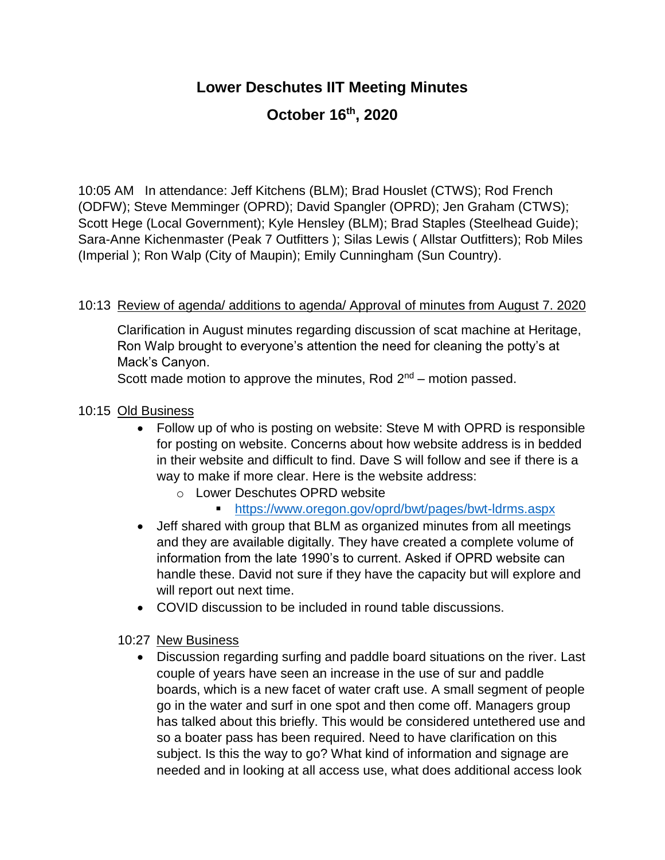## **Lower Deschutes IIT Meeting Minutes**

# **October 16th, 2020**

10:05 AM In attendance: Jeff Kitchens (BLM); Brad Houslet (CTWS); Rod French (ODFW); Steve Memminger (OPRD); David Spangler (OPRD); Jen Graham (CTWS); Scott Hege (Local Government); Kyle Hensley (BLM); Brad Staples (Steelhead Guide); Sara-Anne Kichenmaster (Peak 7 Outfitters ); Silas Lewis ( Allstar Outfitters); Rob Miles (Imperial ); Ron Walp (City of Maupin); Emily Cunningham (Sun Country).

## 10:13 Review of agenda/ additions to agenda/ Approval of minutes from August 7. 2020

Clarification in August minutes regarding discussion of scat machine at Heritage, Ron Walp brought to everyone's attention the need for cleaning the potty's at Mack's Canyon.

Scott made motion to approve the minutes, Rod  $2<sup>nd</sup>$  – motion passed.

#### 10:15 Old Business

- Follow up of who is posting on website: Steve M with OPRD is responsible for posting on website. Concerns about how website address is in bedded in their website and difficult to find. Dave S will follow and see if there is a way to make if more clear. Here is the website address:
	- o Lower Deschutes OPRD website
		- <https://www.oregon.gov/oprd/bwt/pages/bwt-ldrms.aspx>
- Jeff shared with group that BLM as organized minutes from all meetings and they are available digitally. They have created a complete volume of information from the late 1990's to current. Asked if OPRD website can handle these. David not sure if they have the capacity but will explore and will report out next time.
- COVID discussion to be included in round table discussions.
- 10:27 New Business
	- Discussion regarding surfing and paddle board situations on the river. Last couple of years have seen an increase in the use of sur and paddle boards, which is a new facet of water craft use. A small segment of people go in the water and surf in one spot and then come off. Managers group has talked about this briefly. This would be considered untethered use and so a boater pass has been required. Need to have clarification on this subject. Is this the way to go? What kind of information and signage are needed and in looking at all access use, what does additional access look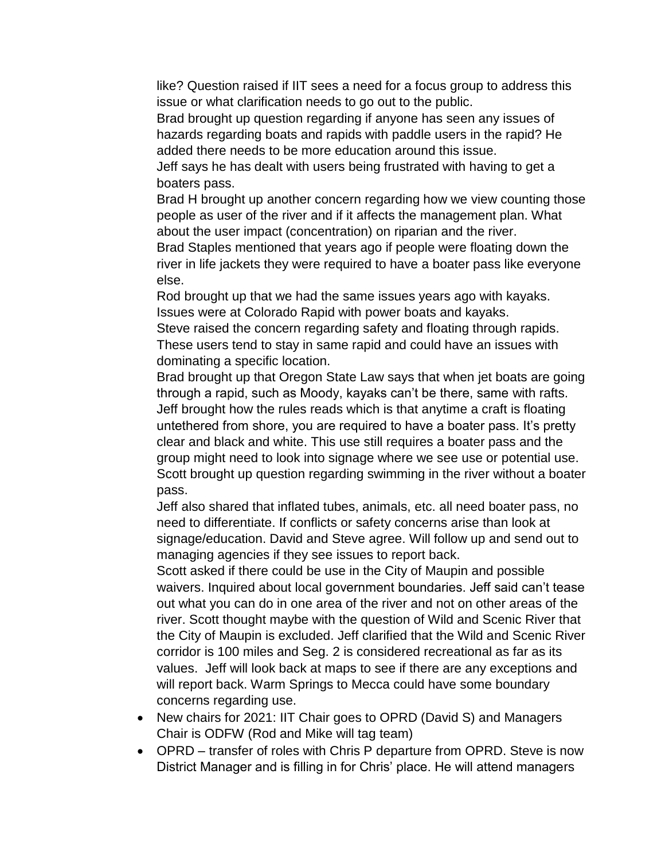like? Question raised if IIT sees a need for a focus group to address this issue or what clarification needs to go out to the public.

Brad brought up question regarding if anyone has seen any issues of hazards regarding boats and rapids with paddle users in the rapid? He added there needs to be more education around this issue.

Jeff says he has dealt with users being frustrated with having to get a boaters pass.

Brad H brought up another concern regarding how we view counting those people as user of the river and if it affects the management plan. What about the user impact (concentration) on riparian and the river.

Brad Staples mentioned that years ago if people were floating down the river in life jackets they were required to have a boater pass like everyone else.

Rod brought up that we had the same issues years ago with kayaks. Issues were at Colorado Rapid with power boats and kayaks.

Steve raised the concern regarding safety and floating through rapids. These users tend to stay in same rapid and could have an issues with dominating a specific location.

Brad brought up that Oregon State Law says that when jet boats are going through a rapid, such as Moody, kayaks can't be there, same with rafts. Jeff brought how the rules reads which is that anytime a craft is floating untethered from shore, you are required to have a boater pass. It's pretty clear and black and white. This use still requires a boater pass and the group might need to look into signage where we see use or potential use. Scott brought up question regarding swimming in the river without a boater pass.

Jeff also shared that inflated tubes, animals, etc. all need boater pass, no need to differentiate. If conflicts or safety concerns arise than look at signage/education. David and Steve agree. Will follow up and send out to managing agencies if they see issues to report back.

Scott asked if there could be use in the City of Maupin and possible waivers. Inquired about local government boundaries. Jeff said can't tease out what you can do in one area of the river and not on other areas of the river. Scott thought maybe with the question of Wild and Scenic River that the City of Maupin is excluded. Jeff clarified that the Wild and Scenic River corridor is 100 miles and Seg. 2 is considered recreational as far as its values. Jeff will look back at maps to see if there are any exceptions and will report back. Warm Springs to Mecca could have some boundary concerns regarding use.

- New chairs for 2021: IIT Chair goes to OPRD (David S) and Managers Chair is ODFW (Rod and Mike will tag team)
- OPRD transfer of roles with Chris P departure from OPRD. Steve is now District Manager and is filling in for Chris' place. He will attend managers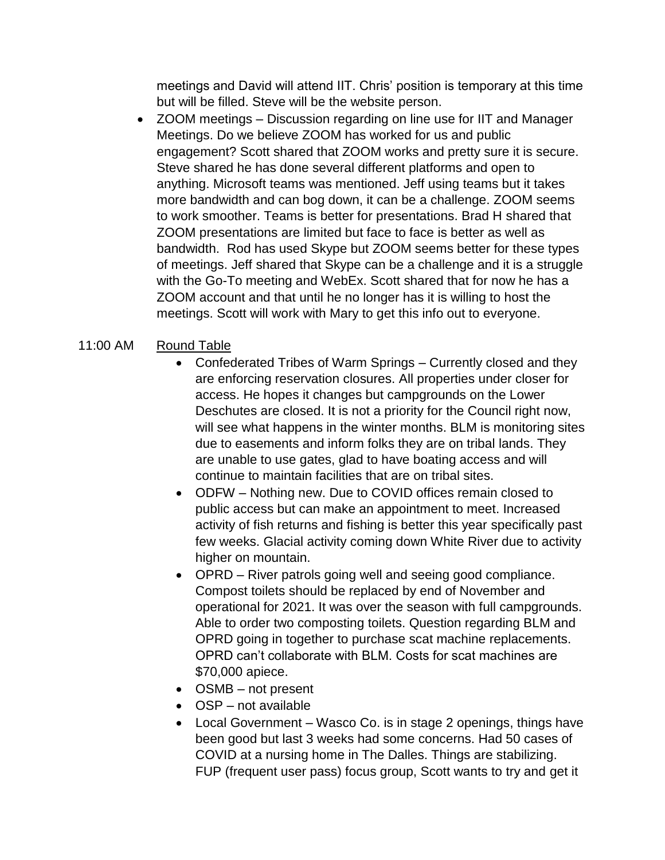meetings and David will attend IIT. Chris' position is temporary at this time but will be filled. Steve will be the website person.

• ZOOM meetings – Discussion regarding on line use for IIT and Manager Meetings. Do we believe ZOOM has worked for us and public engagement? Scott shared that ZOOM works and pretty sure it is secure. Steve shared he has done several different platforms and open to anything. Microsoft teams was mentioned. Jeff using teams but it takes more bandwidth and can bog down, it can be a challenge. ZOOM seems to work smoother. Teams is better for presentations. Brad H shared that ZOOM presentations are limited but face to face is better as well as bandwidth. Rod has used Skype but ZOOM seems better for these types of meetings. Jeff shared that Skype can be a challenge and it is a struggle with the Go-To meeting and WebEx. Scott shared that for now he has a ZOOM account and that until he no longer has it is willing to host the meetings. Scott will work with Mary to get this info out to everyone.

## 11:00 AM Round Table

- Confederated Tribes of Warm Springs Currently closed and they are enforcing reservation closures. All properties under closer for access. He hopes it changes but campgrounds on the Lower Deschutes are closed. It is not a priority for the Council right now, will see what happens in the winter months. BLM is monitoring sites due to easements and inform folks they are on tribal lands. They are unable to use gates, glad to have boating access and will continue to maintain facilities that are on tribal sites.
- ODFW Nothing new. Due to COVID offices remain closed to public access but can make an appointment to meet. Increased activity of fish returns and fishing is better this year specifically past few weeks. Glacial activity coming down White River due to activity higher on mountain.
- OPRD River patrols going well and seeing good compliance. Compost toilets should be replaced by end of November and operational for 2021. It was over the season with full campgrounds. Able to order two composting toilets. Question regarding BLM and OPRD going in together to purchase scat machine replacements. OPRD can't collaborate with BLM. Costs for scat machines are \$70,000 apiece.
- OSMB not present
- OSP not available
- Local Government Wasco Co. is in stage 2 openings, things have been good but last 3 weeks had some concerns. Had 50 cases of COVID at a nursing home in The Dalles. Things are stabilizing. FUP (frequent user pass) focus group, Scott wants to try and get it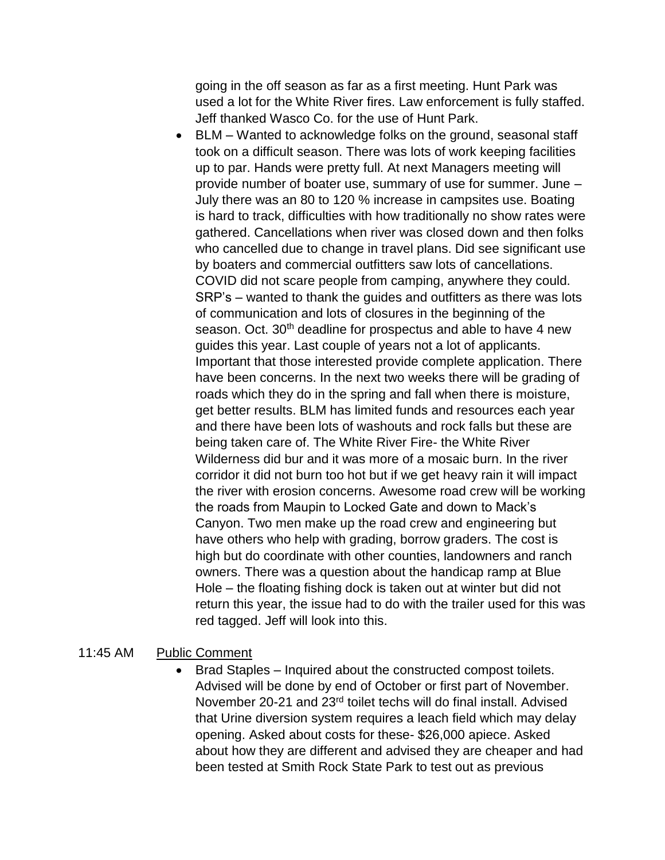going in the off season as far as a first meeting. Hunt Park was used a lot for the White River fires. Law enforcement is fully staffed. Jeff thanked Wasco Co. for the use of Hunt Park.

BLM – Wanted to acknowledge folks on the ground, seasonal staff took on a difficult season. There was lots of work keeping facilities up to par. Hands were pretty full. At next Managers meeting will provide number of boater use, summary of use for summer. June – July there was an 80 to 120 % increase in campsites use. Boating is hard to track, difficulties with how traditionally no show rates were gathered. Cancellations when river was closed down and then folks who cancelled due to change in travel plans. Did see significant use by boaters and commercial outfitters saw lots of cancellations. COVID did not scare people from camping, anywhere they could. SRP's – wanted to thank the guides and outfitters as there was lots of communication and lots of closures in the beginning of the season. Oct. 30<sup>th</sup> deadline for prospectus and able to have 4 new guides this year. Last couple of years not a lot of applicants. Important that those interested provide complete application. There have been concerns. In the next two weeks there will be grading of roads which they do in the spring and fall when there is moisture, get better results. BLM has limited funds and resources each year and there have been lots of washouts and rock falls but these are being taken care of. The White River Fire- the White River Wilderness did bur and it was more of a mosaic burn. In the river corridor it did not burn too hot but if we get heavy rain it will impact the river with erosion concerns. Awesome road crew will be working the roads from Maupin to Locked Gate and down to Mack's Canyon. Two men make up the road crew and engineering but have others who help with grading, borrow graders. The cost is high but do coordinate with other counties, landowners and ranch owners. There was a question about the handicap ramp at Blue Hole – the floating fishing dock is taken out at winter but did not return this year, the issue had to do with the trailer used for this was red tagged. Jeff will look into this.

## 11:45 AM Public Comment

• Brad Staples – Inquired about the constructed compost toilets. Advised will be done by end of October or first part of November. November 20-21 and 23rd toilet techs will do final install. Advised that Urine diversion system requires a leach field which may delay opening. Asked about costs for these- \$26,000 apiece. Asked about how they are different and advised they are cheaper and had been tested at Smith Rock State Park to test out as previous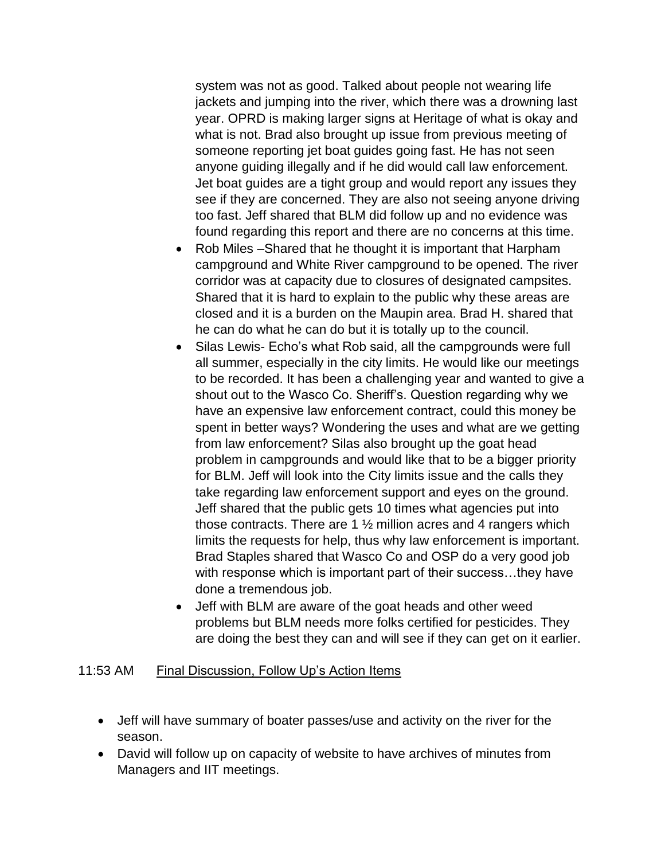system was not as good. Talked about people not wearing life jackets and jumping into the river, which there was a drowning last year. OPRD is making larger signs at Heritage of what is okay and what is not. Brad also brought up issue from previous meeting of someone reporting jet boat guides going fast. He has not seen anyone guiding illegally and if he did would call law enforcement. Jet boat guides are a tight group and would report any issues they see if they are concerned. They are also not seeing anyone driving too fast. Jeff shared that BLM did follow up and no evidence was found regarding this report and there are no concerns at this time.

- Rob Miles –Shared that he thought it is important that Harpham campground and White River campground to be opened. The river corridor was at capacity due to closures of designated campsites. Shared that it is hard to explain to the public why these areas are closed and it is a burden on the Maupin area. Brad H. shared that he can do what he can do but it is totally up to the council.
- Silas Lewis- Echo's what Rob said, all the campgrounds were full all summer, especially in the city limits. He would like our meetings to be recorded. It has been a challenging year and wanted to give a shout out to the Wasco Co. Sheriff's. Question regarding why we have an expensive law enforcement contract, could this money be spent in better ways? Wondering the uses and what are we getting from law enforcement? Silas also brought up the goat head problem in campgrounds and would like that to be a bigger priority for BLM. Jeff will look into the City limits issue and the calls they take regarding law enforcement support and eyes on the ground. Jeff shared that the public gets 10 times what agencies put into those contracts. There are 1  $\frac{1}{2}$  million acres and 4 rangers which limits the requests for help, thus why law enforcement is important. Brad Staples shared that Wasco Co and OSP do a very good job with response which is important part of their success…they have done a tremendous job.
- Jeff with BLM are aware of the goat heads and other weed problems but BLM needs more folks certified for pesticides. They are doing the best they can and will see if they can get on it earlier.

#### 11:53 AM Final Discussion, Follow Up's Action Items

- Jeff will have summary of boater passes/use and activity on the river for the season.
- David will follow up on capacity of website to have archives of minutes from Managers and IIT meetings.